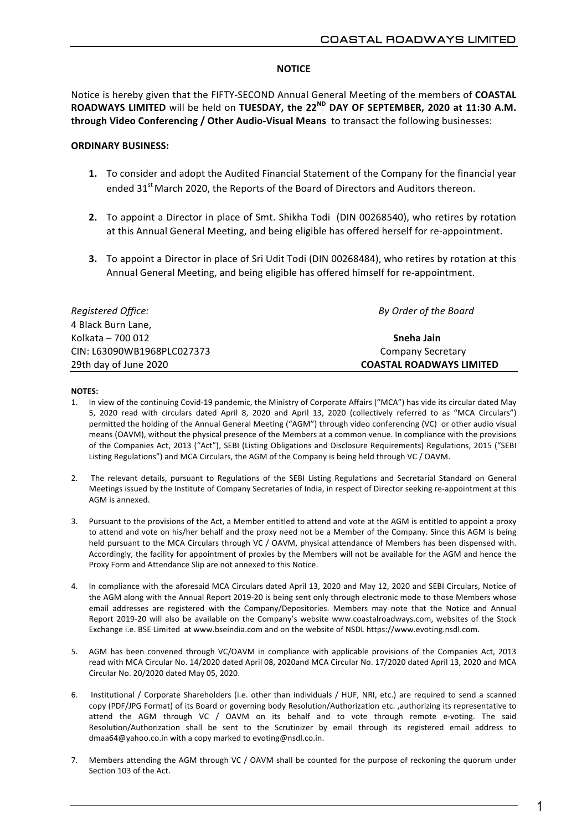# **NOTICE**

Notice is hereby given that the FIFTY-SECOND Annual General Meeting of the members of **COASTAL** ROADWAYS LIMITED will be held on TUESDAY, the 22<sup>ND</sup> DAY OF SEPTEMBER, 2020 at 11:30 A.M. through Video Conferencing / Other Audio-Visual Means to transact the following businesses:

# **ORDINARY'BUSINESS:**

- **1.** To consider and adopt the Audited Financial Statement of the Company for the financial year ended 31<sup>st</sup> March 2020, the Reports of the Board of Directors and Auditors thereon.
- **2.** To appoint a Director in place of Smt. Shikha Todi (DIN 00268540), who retires by rotation at this Annual General Meeting, and being eligible has offered herself for re-appointment.
- **3.** To appoint a Director in place of Sri Udit Todi (DIN 00268484), who retires by rotation at this Annual General Meeting, and being eligible has offered himself for re-appointment.

| Registered Office:         | By Order of the Board           |
|----------------------------|---------------------------------|
| 4 Black Burn Lane,         |                                 |
| Kolkata – 700 012          | Sneha Jain                      |
| CIN: L63090WB1968PLC027373 | <b>Company Secretary</b>        |
| 29th day of June 2020      | <b>COASTAL ROADWAYS LIMITED</b> |

# **NOTES:**

- 1. In view of the continuing Covid-19 pandemic, the Ministry of Corporate Affairs ("MCA") has vide its circular dated May 5, 2020 read with circulars dated April 8, 2020 and April 13, 2020 (collectively referred to as "MCA Circulars") permitted the holding of the Annual General Meeting ("AGM") through video conferencing (VC) or other audio visual means (OAVM), without the physical presence of the Members at a common venue. In compliance with the provisions of the Companies Act, 2013 ("Act"), SEBI (Listing Obligations and Disclosure Requirements) Regulations, 2015 ("SEBI Listing Regulations") and MCA Circulars, the AGM of the Company is being held through VC / OAVM.
- 2. The relevant details, pursuant to Regulations of the SEBI Listing Regulations and Secretarial Standard on General Meetings issued by the Institute of Company Secretaries of India, in respect of Director seeking re-appointment at this AGM is annexed.
- 3. Pursuant to the provisions of the Act, a Member entitled to attend and vote at the AGM is entitled to appoint a proxy to attend and vote on his/her behalf and the proxy need not be a Member of the Company. Since this AGM is being held pursuant to the MCA Circulars through VC / OAVM, physical attendance of Members has been dispensed with. Accordingly, the facility for appointment of proxies by the Members will not be available for the AGM and hence the Proxy Form and Attendance Slip are not annexed to this Notice.
- 4. In compliance with the aforesaid MCA Circulars dated April 13, 2020 and May 12, 2020 and SEBI Circulars, Notice of the AGM along with the Annual Report 2019-20 is being sent only through electronic mode to those Members whose email addresses are registered with the Company/Depositories. Members may note that the Notice and Annual Report 2019-20 will also be available on the Company's website www.coastalroadways.com, websites of the Stock Exchange i.e. BSE Limited at www.bseindia.com and on the website of NSDL https://www.evoting.nsdl.com.
- 5. AGM has been convened through VC/OAVM in compliance with applicable provisions of the Companies Act, 2013 read with MCA Circular No. 14/2020 dated April 08, 2020and MCA Circular No. 17/2020 dated April 13, 2020 and MCA Circular No. 20/2020 dated May 05, 2020.
- 6. Institutional / Corporate Shareholders (i.e. other than individuals / HUF, NRI, etc.) are required to send a scanned copy (PDF/JPG Format) of its Board or governing body Resolution/Authorization etc. ,authorizing its representative to attend the AGM through VC / OAVM on its behalf and to vote through remote e-voting. The said Resolution/Authorization shall be sent to the Scrutinizer by email through its registered email address to dmaa64@yahoo.co.in with a copy marked to evoting@nsdl.co.in.
- 7. Members attending the AGM through VC / OAVM shall be counted for the purpose of reckoning the quorum under Section 103 of the Act.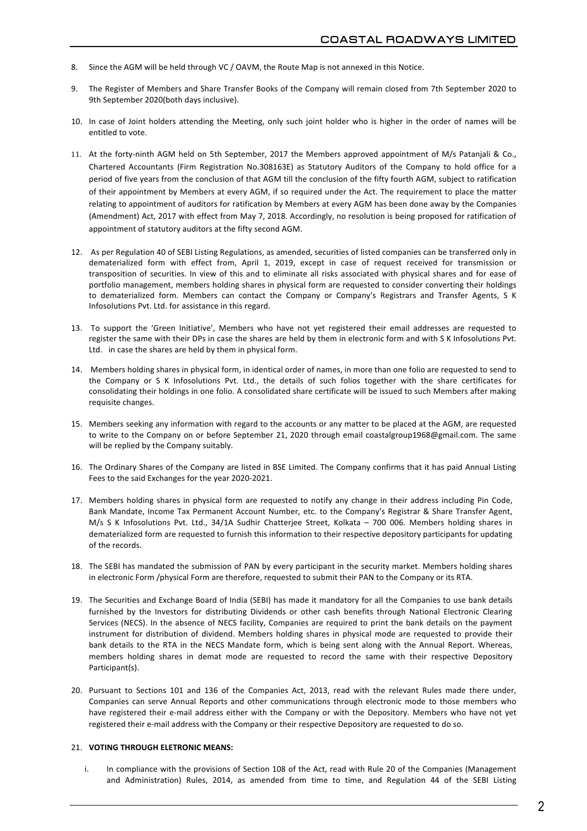- 8. Since the AGM will be held through VC / OAVM, the Route Map is not annexed in this Notice.
- 9. The Register of Members and Share Transfer Books of the Company will remain closed from 7th September 2020 to 9th September 2020(both days inclusive).
- 10. In case of Joint holders attending the Meeting, only such joint holder who is higher in the order of names will be entitled to vote.
- 11. At the forty-ninth AGM held on 5th September, 2017 the Members approved appointment of M/s Patanjali & Co., Chartered Accountants (Firm Registration No.308163E) as Statutory Auditors of the Company to hold office for a period of five years from the conclusion of that AGM till the conclusion of the fifty fourth AGM, subject to ratification of their appointment by Members at every AGM, if so required under the Act. The requirement to place the matter relating to appointment of auditors for ratification by Members at every AGM has been done away by the Companies (Amendment) Act, 2017 with effect from May 7, 2018. Accordingly, no resolution is being proposed for ratification of appointment of statutory auditors at the fifty second AGM.
- 12. As per Regulation 40 of SEBI Listing Regulations, as amended, securities of listed companies can be transferred only in dematerialized form with effect from, April 1, 2019, except in case of request received for transmission or transposition of securities. In view of this and to eliminate all risks associated with physical shares and for ease of portfolio management, members holding shares in physical form are requested to consider converting their holdings to dematerialized form. Members can contact the Company or Company's Registrars and Transfer Agents, S K Infosolutions Pvt. Ltd. for assistance in this regard.
- 13. To support the 'Green Initiative', Members who have not yet registered their email addresses are requested to register the same with their DPs in case the shares are held by them in electronic form and with S K Infosolutions Pvt. Ltd. in case the shares are held by them in physical form.
- 14. Members holding shares in physical form, in identical order of names, in more than one folio are requested to send to the Company or S K Infosolutions Pvt. Ltd., the details of such folios together with the share certificates for consolidating their holdings in one folio. A consolidated share certificate will be issued to such Members after making requisite changes.
- 15. Members seeking any information with regard to the accounts or any matter to be placed at the AGM, are requested to write to the Company on or before September 21, 2020 through email coastalgroup1968@gmail.com. The same will be replied by the Company suitably.
- 16. The Ordinary Shares of the Company are listed in BSE Limited. The Company confirms that it has paid Annual Listing Fees to the said Exchanges for the year 2020-2021.
- 17. Members holding shares in physical form are requested to notify any change in their address including Pin Code, Bank Mandate, Income Tax Permanent Account Number, etc. to the Company's Registrar & Share Transfer Agent, M/s S K Infosolutions Pvt. Ltd., 34/1A Sudhir Chatterjee Street, Kolkata – 700 006. Members holding shares in dematerialized form are requested to furnish this information to their respective depository participants for updating of the records.
- 18. The SEBI has mandated the submission of PAN by every participant in the security market. Members holding shares in electronic Form /physical Form are therefore, requested to submit their PAN to the Company or its RTA.
- 19. The Securities and Exchange Board of India (SEBI) has made it mandatory for all the Companies to use bank details furnished by the Investors for distributing Dividends or other cash benefits through National Electronic Clearing Services (NECS). In the absence of NECS facility, Companies are required to print the bank details on the payment instrument for distribution of dividend. Members holding shares in physical mode are requested to provide their bank details to the RTA in the NECS Mandate form, which is being sent along with the Annual Report. Whereas, members holding shares in demat mode are requested to record the same with their respective Depository Participant(s).!
- 20. Pursuant to Sections 101 and 136 of the Companies Act, 2013, read with the relevant Rules made there under, Companies can serve Annual Reports and other communications through electronic mode to those members who have registered their e-mail address either with the Company or with the Depository. Members who have not yet registered their e-mail address with the Company or their respective Depository are requested to do so.

### 21. **VOTING THROUGH ELETRONIC MEANS:**

i. In compliance with the provisions of Section 108 of the Act, read with Rule 20 of the Companies (Management and Administration) Rules, 2014, as amended from time to time, and Regulation 44 of the SEBI Listing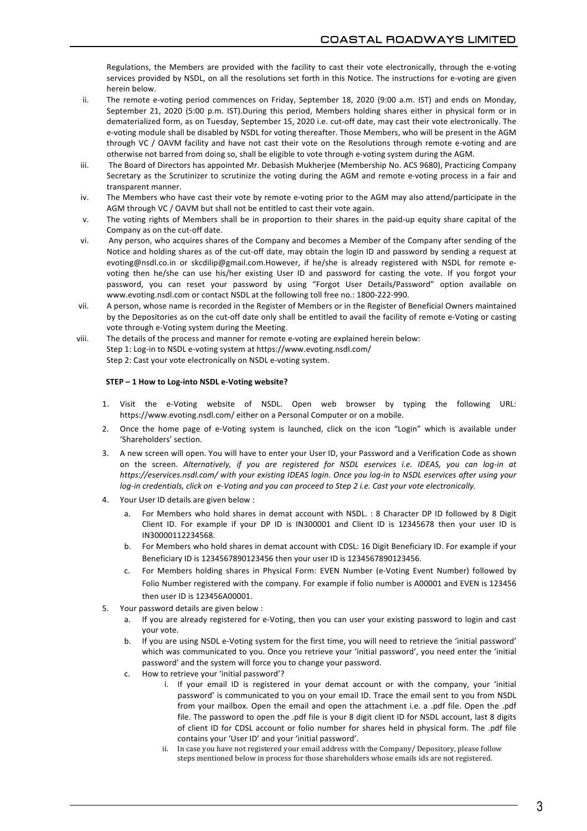Regulations, the Members are provided with the facility to cast their vote electronically, through the e-voting services provided by NSDL, on all the resolutions set forth in this Notice. The instructions for e-voting are given herein below.

- ii. The remote e-voting period commences on Friday, September 18, 2020 (9:00 a.m. IST) and ends on Monday, September 21, 2020 (5:00 p.m. IST).During this period, Members holding shares either in physical form or in dematerialized form, as on Tuesday, September 15, 2020 i.e. cut-off date, may cast their vote electronically. The e-voting module shall be disabled by NSDL for voting thereafter. Those Members, who will be present in the AGM through VC / OAVM facility and have not cast their vote on the Resolutions through remote e-voting and are otherwise not barred from doing so, shall be eligible to vote through e-voting system during the AGM.
- iii. The Board of Directors has appointed Mr. Debasish Mukherjee (Membership No. ACS 9680), Practicing Company Secretary as the Scrutinizer to scrutinize the voting during the AGM and remote e-voting process in a fair and transparent manner.
- iv. The Members who have cast their vote by remote e-voting prior to the AGM may also attend/participate in the AGM through VC / OAVM but shall not be entitled to cast their vote again.
- v. The voting rights of Members shall be in proportion to their shares in the paid-up equity share capital of the Company as on the cut-off date.
- vi. Any person, who acquires shares of the Company and becomes a Member of the Company after sending of the Notice and holding shares as of the cut-off date, may obtain the login ID and password by sending a request at evoting@nsdl.co.in or skcdilip@gmail.com.However, if he/she is already registered with NSDL for remote evoting then he/she can use his/her existing User ID and password for casting the vote. If you forgot your password, you can reset your password by using "Forgot User Details/Password" option available on www.evoting.nsdl.com or contact NSDL at the following toll free no.: 1800-222-990.
- vii. A person, whose name is recorded in the Register of Members or in the Register of Beneficial Owners maintained by the Depositories as on the cut-off date only shall be entitled to avail the facility of remote e-Voting or casting vote through e-Voting system during the Meeting.
- viii. The details of the process and manner for remote e-voting are explained herein below: Step 1: Log-in to NSDL e-voting system at https://www.evoting.nsdl.com/ Step 2: Cast your vote electronically on NSDL e-voting system.

## STEP - 1 How to Log-into NSDL e-Voting website?

- 1. Visit the e-Voting website of NSDL. Open web browser by typing the following URL: https://www.evoting.nsdl.com/ either on a Personal Computer or on a mobile.
- 2. Once the home page of e-Voting system is launched, click on the icon "Login" which is available under 'Shareholders' section.
- 3. A new screen will open. You will have to enter your User ID, your Password and a Verification Code as shown on the screen. *Alternatively, if you are registered for NSDL eservices i.e. IDEAS, you can log-in at https://eservices.nsdl.com/ with your existing IDEAS login. Once you log-in to NSDL eservices after using your log-in credentials, click on e-Voting and you can proceed to Step 2 i.e. Cast your vote electronically.*
- 4. Your User ID details are given below :
	- a. For Members who hold shares in demat account with NSDL. : 8 Character DP ID followed by 8 Digit Client ID. For example if your DP ID is IN300001 and Client ID is 12345678 then your user ID is IN30000112234568.
	- b. For Members who hold shares in demat account with CDSL: 16 Digit Beneficiary ID. For example if your Beneficiary ID is 1234567890123456 then your user ID is 1234567890123456.
	- c. For Members holding shares in Physical Form: EVEN Number (e-Voting Event Number) followed by Folio Number registered with the company. For example if folio number is A00001 and EVEN is 123456 then user ID is 123456A00001.
- 5. Your password details are given below :
	- a. If you are already registered for e-Voting, then you can user your existing password to login and cast vour vote.
	- b. If you are using NSDL e-Voting system for the first time, you will need to retrieve the 'initial password' which was communicated to you. Once you retrieve your 'initial password', you need enter the 'initial password' and the system will force you to change your password.
	- c. How to retrieve your 'initial password'?
		- i. If your email ID is registered in your demat account or with the company, your 'initial password' is communicated to you on your email ID. Trace the email sent to you from NSDL from your mailbox. Open the email and open the attachment i.e. a .pdf file. Open the .pdf file. The password to open the .pdf file is your 8 digit client ID for NSDL account, last 8 digits of client ID for CDSL account or folio number for shares held in physical form. The .pdf file contains your 'User ID' and your 'initial password'.
		- ii. In case you have not registered your email address with the Company/ Depository, please follow steps mentioned below in process for those shareholders whose emails ids are not registered.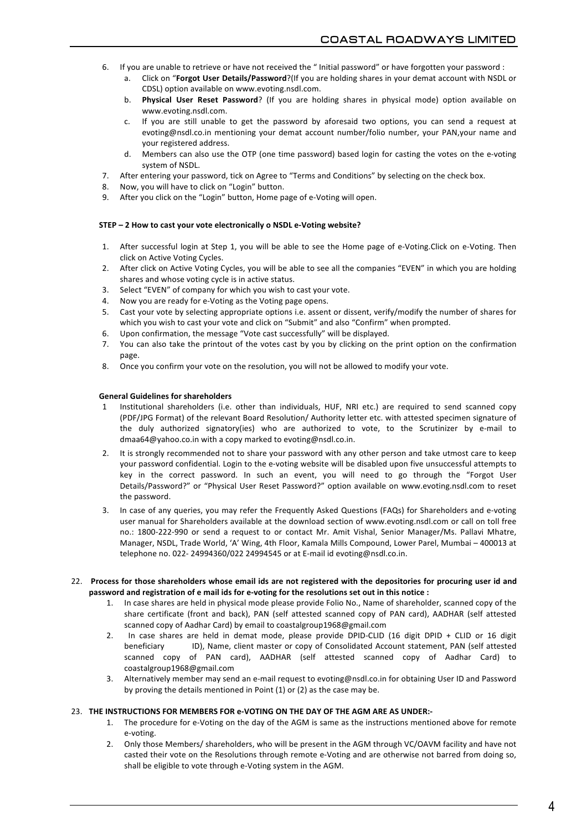- 6. If you are unable to retrieve or have not received the " Initial password" or have forgotten your password :
	- a. Click on "Forgot User Details/Password?(If you are holding shares in your demat account with NSDL or CDSL) option available on www.evoting.nsdl.com.
	- b. **Physical User Reset Password**? (If you are holding shares in physical mode) option available on www.evoting.nsdl.com.
	- c. If you are still unable to get the password by aforesaid two options, you can send a request at evoting@nsdl.co.in mentioning your demat account number/folio number, your PAN,your name and your registered address.
	- d. Members can also use the OTP (one time password) based login for casting the votes on the e-voting system of NSDL.
- 7. After entering your password, tick on Agree to "Terms and Conditions" by selecting on the check box.
- 8. Now, you will have to click on "Login" button.
- 9. After you click on the "Login" button, Home page of e-Voting will open.

### STEP – 2 How to cast your vote electronically o NSDL e-Voting website?

- 1. After successful login at Step 1, you will be able to see the Home page of e-Voting.Click on e-Voting. Then click on Active Voting Cycles.
- 2. After click on Active Voting Cycles, you will be able to see all the companies "EVEN" in which you are holding shares and whose voting cycle is in active status.
- 3. Select "EVEN" of company for which you wish to cast your vote.
- 4. Now you are ready for e-Voting as the Voting page opens.
- 5. Cast your vote by selecting appropriate options i.e. assent or dissent, verify/modify the number of shares for which you wish to cast your vote and click on "Submit" and also "Confirm" when prompted.
- 6. Upon confirmation, the message "Vote cast successfully" will be displayed.
- 7. You can also take the printout of the votes cast by you by clicking on the print option on the confirmation page.
- 8. Once you confirm your vote on the resolution, you will not be allowed to modify your vote.

### **General'Guidelines'for'shareholders**

- Institutional shareholders (i.e. other than individuals, HUF, NRI etc.) are required to send scanned copy (PDF/JPG Format) of the relevant Board Resolution/ Authority letter etc. with attested specimen signature of the duly authorized signatory(ies) who are authorized to vote, to the Scrutinizer by e-mail to dmaa64@yahoo.co.in with a copy marked to evoting@nsdl.co.in.
- 2. It is strongly recommended not to share your password with any other person and take utmost care to keep your password confidential. Login to the e-voting website will be disabled upon five unsuccessful attempts to key in the correct password. In such an event, you will need to go through the "Forgot User Details/Password?" or "Physical User Reset Password?" option available on www.evoting.nsdl.com to reset the password.
- 3. In case of any queries, you may refer the Frequently Asked Questions (FAQs) for Shareholders and e-voting user manual for Shareholders available at the download section of www.evoting.nsdl.com or call on toll free no.: 1800-222-990 or send a request to or contact Mr. Amit Vishal, Senior Manager/Ms. Pallavi Mhatre, Manager, NSDL, Trade World, 'A' Wing, 4th Floor, Kamala Mills Compound, Lower Parel, Mumbai – 400013 at telephone no. 022- 24994360/022 24994545 or at E-mail id evoting@nsdl.co.in.
- 22. Process for those shareholders whose email ids are not registered with the depositories for procuring user id and password and registration of e mail ids for e-voting for the resolutions set out in this notice :
	- 1. In case shares are held in physical mode please provide Folio No., Name of shareholder, scanned copy of the share certificate (front and back), PAN (self attested scanned copy of PAN card), AADHAR (self attested scanned copy of Aadhar Card) by email to coastalgroup1968@gmail.com
	- 2. In case shares are held in demat mode, please provide DPID-CLID (16 digit DPID + CLID or 16 digit beneficiary ID), Name, client master or copy of Consolidated Account statement, PAN (self attested scanned copy of PAN card), AADHAR (self attested scanned copy of Aadhar Card) to coastalgroup1968@gmail.com
	- 3. Alternatively member may send an e-mail request to evoting@nsdl.co.in for obtaining User ID and Password by proving the details mentioned in Point  $(1)$  or  $(2)$  as the case may be.

#### 23. **THE'INSTRUCTIONS'FOR'MEMBERS'FOR'eJVOTING'ON'THE'DAY'OF'THE AGM'ARE'AS'UNDER:J**

- 1. The procedure for e-Voting on the day of the AGM is same as the instructions mentioned above for remote e-voting.
- 2. Only those Members/ shareholders, who will be present in the AGM through VC/OAVM facility and have not casted their vote on the Resolutions through remote e-Voting and are otherwise not barred from doing so, shall be eligible to vote through e-Voting system in the AGM.